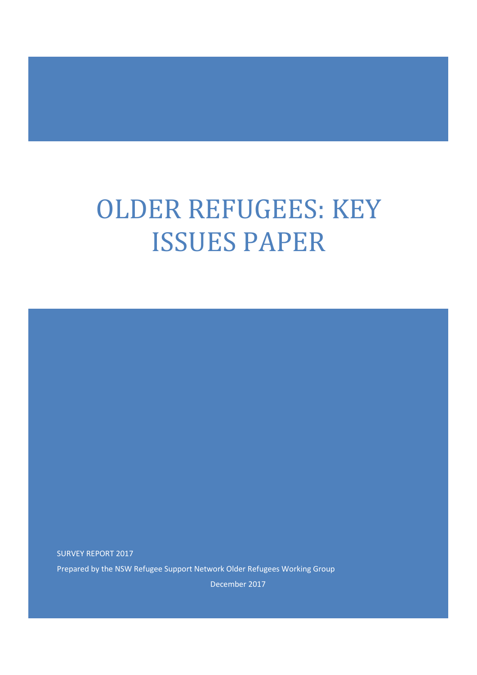# OLDER REFUGEES: KEY ISSUES PAPER

SURVEY REPORT 2017 Prepared by the NSW Refugee Support Network Older Refugees Working Group

December 2017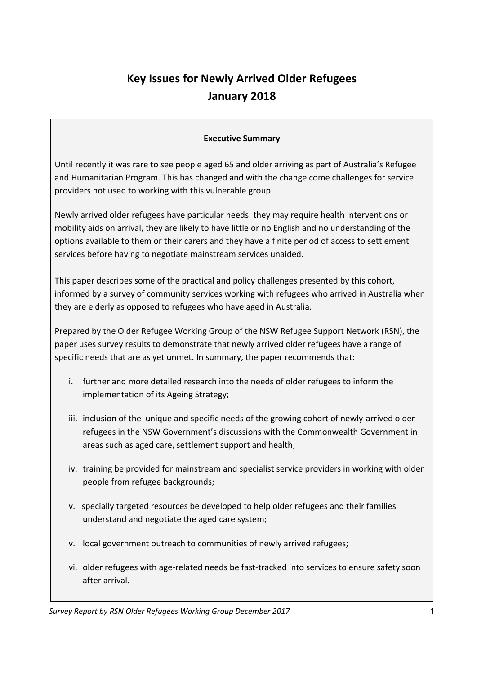## **Key Issues for Newly Arrived Older Refugees January 2018**

## **Executive Summary**

Until recently it was rare to see people aged 65 and older arriving as part of Australia's Refugee and Humanitarian Program. This has changed and with the change come challenges for service providers not used to working with this vulnerable group.

Newly arrived older refugees have particular needs: they may require health interventions or mobility aids on arrival, they are likely to have little or no English and no understanding of the options available to them or their carers and they have a finite period of access to settlement services before having to negotiate mainstream services unaided.

This paper describes some of the practical and policy challenges presented by this cohort, informed by a survey of community services working with refugees who arrived in Australia when they are elderly as opposed to refugees who have aged in Australia.

Prepared by the Older Refugee Working Group of the NSW Refugee Support Network (RSN), the paper uses survey results to demonstrate that newly arrived older refugees have a range of specific needs that are as yet unmet. In summary, the paper recommends that:

- i. further and more detailed research into the needs of older refugees to inform the implementation of its Ageing Strategy;
- iii. inclusion of the unique and specific needs of the growing cohort of newly-arrived older refugees in the NSW Government's discussions with the Commonwealth Government in areas such as aged care, settlement support and health;
- iv. training be provided for mainstream and specialist service providers in working with older people from refugee backgrounds;
- v. specially targeted resources be developed to help older refugees and their families understand and negotiate the aged care system;
- v. local government outreach to communities of newly arrived refugees;
- vi. older refugees with age-related needs be fast-tracked into services to ensure safety soon after arrival.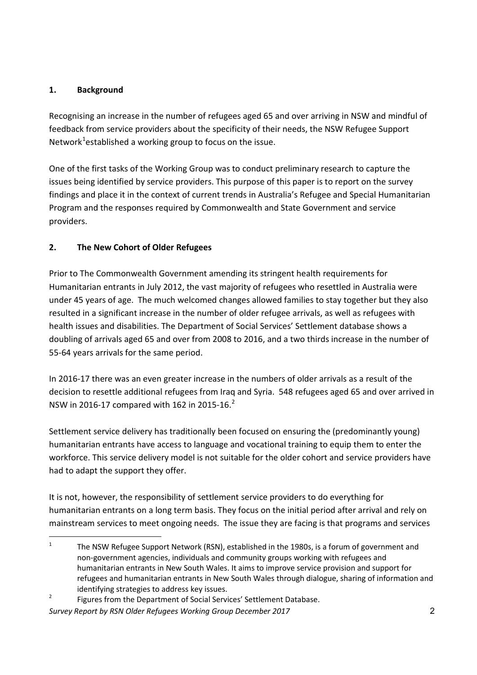## **1. Background**

Recognising an increase in the number of refugees aged 65 and over arriving in NSW and mindful of feedback from service providers about the specificity of their needs, the NSW Refugee Support Network $1$ established a working group to focus on the issue.

One of the first tasks of the Working Group was to conduct preliminary research to capture the issues being identified by service providers. This purpose of this paper is to report on the survey findings and place it in the context of current trends in Australia's Refugee and Special Humanitarian Program and the responses required by Commonwealth and State Government and service providers.

## **2. The New Cohort of Older Refugees**

Prior to The Commonwealth Government amending its stringent health requirements for Humanitarian entrants in July 2012, the vast majority of refugees who resettled in Australia were under 45 years of age. The much welcomed changes allowed families to stay together but they also resulted in a significant increase in the number of older refugee arrivals, as well as refugees with health issues and disabilities. The Department of Social Services' Settlement database shows a doubling of arrivals aged 65 and over from 2008 to 2016, and a two thirds increase in the number of 55-64 years arrivals for the same period.

In 2016-17 there was an even greater increase in the numbers of older arrivals as a result of the decision to resettle additional refugees from Iraq and Syria. 548 refugees aged 65 and over arrived in NSW in 2016-17 compared with 162 in 2015-16. $^{2}$ 

Settlement service delivery has traditionally been focused on ensuring the (predominantly young) humanitarian entrants have access to language and vocational training to equip them to enter the workforce. This service delivery model is not suitable for the older cohort and service providers have had to adapt the support they offer.

It is not, however, the responsibility of settlement service providers to do everything for humanitarian entrants on a long term basis. They focus on the initial period after arrival and rely on mainstream services to meet ongoing needs. The issue they are facing is that programs and services

<sup>&</sup>lt;sup>1</sup> The NSW Refugee Support Network (RSN), established in the 1980s, is a forum of government and non-government agencies, individuals and community groups working with refugees and humanitarian entrants in New South Wales. It aims to improve service provision and support for refugees and humanitarian entrants in New South Wales through dialogue, sharing of information and identifying strategies to address key issues.

<sup>&</sup>lt;sup>2</sup> Figures from the Department of Social Services' Settlement Database.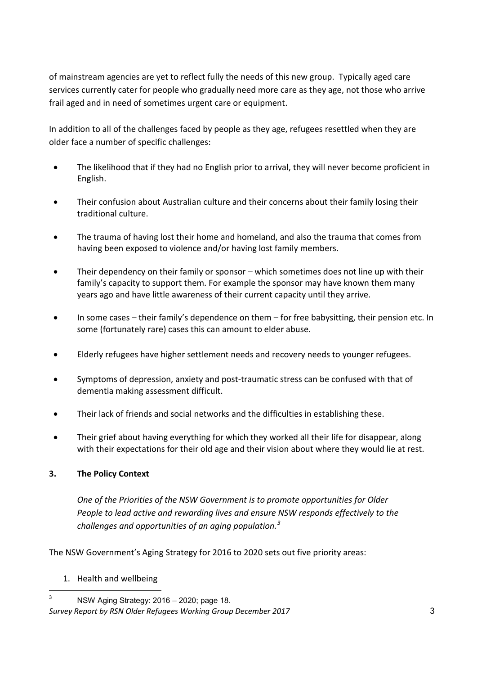of mainstream agencies are yet to reflect fully the needs of this new group. Typically aged care services currently cater for people who gradually need more care as they age, not those who arrive frail aged and in need of sometimes urgent care or equipment.

In addition to all of the challenges faced by people as they age, refugees resettled when they are older face a number of specific challenges:

- The likelihood that if they had no English prior to arrival, they will never become proficient in English.
- Their confusion about Australian culture and their concerns about their family losing their traditional culture.
- The trauma of having lost their home and homeland, and also the trauma that comes from having been exposed to violence and/or having lost family members.
- Their dependency on their family or sponsor which sometimes does not line up with their family's capacity to support them. For example the sponsor may have known them many years ago and have little awareness of their current capacity until they arrive.
- In some cases their family's dependence on them for free babysitting, their pension etc. In some (fortunately rare) cases this can amount to elder abuse.
- Elderly refugees have higher settlement needs and recovery needs to younger refugees.
- Symptoms of depression, anxiety and post-traumatic stress can be confused with that of dementia making assessment difficult.
- Their lack of friends and social networks and the difficulties in establishing these.
- Their grief about having everything for which they worked all their life for disappear, along with their expectations for their old age and their vision about where they would lie at rest.

## **3. The Policy Context**

*One of the Priorities of the NSW Government is to promote opportunities for Older People to lead active and rewarding lives and ensure NSW responds effectively to the challenges and opportunities of an aging population.<sup>3</sup>*

The NSW Government's Aging Strategy for 2016 to 2020 sets out five priority areas:

1. Health and wellbeing

*Survey Report by RSN Older Refugees Working Group December 2017* 3  $3$  NSW Aging Strategy: 2016 – 2020; page 18.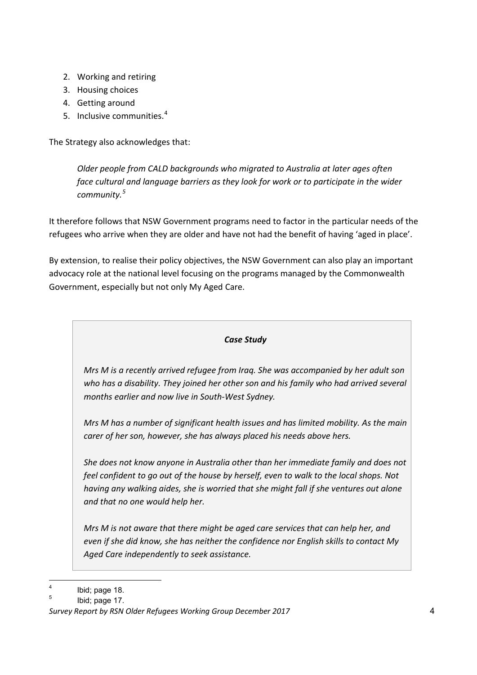- 2. Working and retiring
- 3. Housing choices
- 4. Getting around
- 5. Inclusive communities.<sup>4</sup>

The Strategy also acknowledges that:

*Older people from CALD backgrounds who migrated to Australia at later ages often face cultural and language barriers as they look for work or to participate in the wider community.<sup>5</sup>*

It therefore follows that NSW Government programs need to factor in the particular needs of the refugees who arrive when they are older and have not had the benefit of having 'aged in place'.

By extension, to realise their policy objectives, the NSW Government can also play an important advocacy role at the national level focusing on the programs managed by the Commonwealth Government, especially but not only My Aged Care.

## *Case Study*

*Mrs M is a recently arrived refugee from Iraq. She was accompanied by her adult son who has a disability. They joined her other son and his family who had arrived several months earlier and now live in South-West Sydney.* 

*Mrs M has a number of significant health issues and has limited mobility. As the main carer of her son, however, she has always placed his needs above hers.*

*She does not know anyone in Australia other than her immediate family and does not feel confident to go out of the house by herself, even to walk to the local shops. Not having any walking aides, she is worried that she might fall if she ventures out alone and that no one would help her.*

*Mrs M is not aware that there might be aged care services that can help her, and even if she did know, she has neither the confidence nor English skills to contact My Aged Care independently to seek assistance.* 

 $4$  Ibid; page 18.

 $5$  Ibid; page 17.

*Survey Report by RSN Older Refugees Working Group December 2017* 4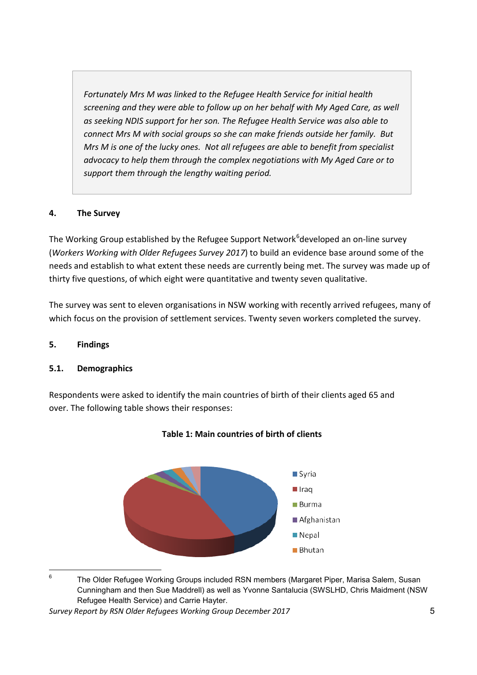*Fortunately Mrs M was linked to the Refugee Health Service for initial health screening and they were able to follow up on her behalf with My Aged Care, as well as seeking NDIS support for her son. The Refugee Health Service was also able to connect Mrs M with social groups so she can make friends outside her family. But Mrs M is one of the lucky ones. Not all refugees are able to benefit from specialist advocacy to help them through the complex negotiations with My Aged Care or to support them through the lengthy waiting period.*

## **4. The Survey**

The Working Group established by the Refugee Support Network<sup>6</sup>developed an on-line survey (*Workers Working with Older Refugees Survey 2017*) to build an evidence base around some of the needs and establish to what extent these needs are currently being met. The survey was made up of thirty five questions, of which eight were quantitative and twenty seven qualitative.

The survey was sent to eleven organisations in NSW working with recently arrived refugees, many of which focus on the provision of settlement services. Twenty seven workers completed the survey.

## **5. Findings**

## **5.1. Demographics**

Respondents were asked to identify the main countries of birth of their clients aged 65 and over. The following table shows their responses:





<sup>&</sup>lt;sup>6</sup> The Older Refugee Working Groups included RSN members (Margaret Piper, Marisa Salem, Susan Cunningham and then Sue Maddrell) as well as Yvonne Santalucia (SWSLHD, Chris Maidment (NSW Refugee Health Service) and Carrie Hayter.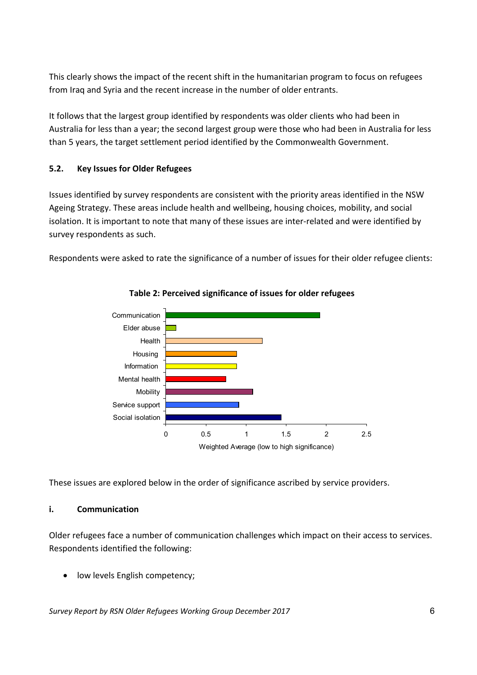This clearly shows the impact of the recent shift in the humanitarian program to focus on refugees from Iraq and Syria and the recent increase in the number of older entrants.

It follows that the largest group identified by respondents was older clients who had been in Australia for less than a year; the second largest group were those who had been in Australia for less than 5 years, the target settlement period identified by the Commonwealth Government.

## **5.2. Key Issues for Older Refugees**

Issues identified by survey respondents are consistent with the priority areas identified in the NSW Ageing Strategy. These areas include health and wellbeing, housing choices, mobility, and social isolation. It is important to note that many of these issues are inter-related and were identified by survey respondents as such.

Respondents were asked to rate the significance of a number of issues for their older refugee clients:



## **Table 2: Perceived significance of issues for older refugees**

These issues are explored below in the order of significance ascribed by service providers.

#### **i. Communication**

Older refugees face a number of communication challenges which impact on their access to services. Respondents identified the following:

low levels English competency;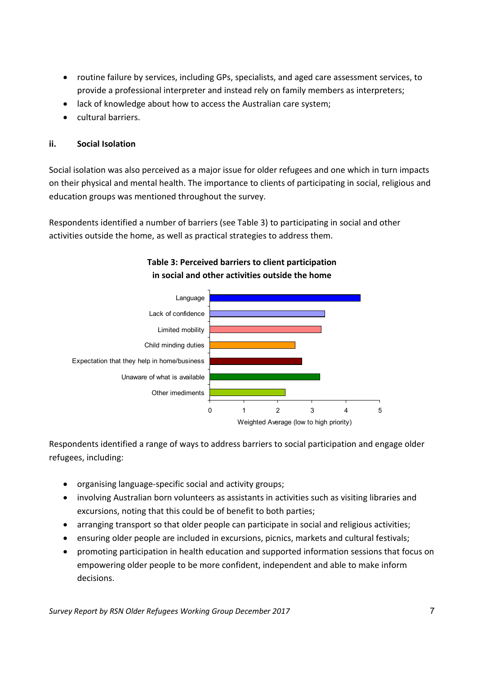- routine failure by services, including GPs, specialists, and aged care assessment services, to provide a professional interpreter and instead rely on family members as interpreters;
- lack of knowledge about how to access the Australian care system;
- cultural barriers.

### **ii. Social Isolation**

Social isolation was also perceived as a major issue for older refugees and one which in turn impacts on their physical and mental health. The importance to clients of participating in social, religious and education groups was mentioned throughout the survey.

Respondents identified a number of barriers (see Table 3) to participating in social and other activities outside the home, as well as practical strategies to address them.



## **Table 3: Perceived barriers to client participation in social and other activities outside the home**

Respondents identified a range of ways to address barriers to social participation and engage older refugees, including:

- organising language-specific social and activity groups;
- involving Australian born volunteers as assistants in activities such as visiting libraries and excursions, noting that this could be of benefit to both parties;
- arranging transport so that older people can participate in social and religious activities;
- ensuring older people are included in excursions, picnics, markets and cultural festivals;
- promoting participation in health education and supported information sessions that focus on empowering older people to be more confident, independent and able to make inform decisions.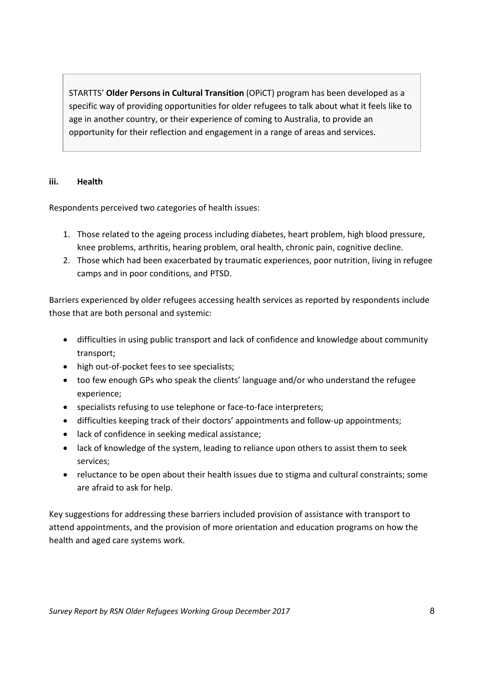STARTTS' **Older Persons in Cultural Transition** (OPiCT) program has been developed as a specific way of providing opportunities for older refugees to talk about what it feels like to age in another country, or their experience of coming to Australia, to provide an opportunity for their reflection and engagement in a range of areas and services.

#### **iii. Health**

Respondents perceived two categories of health issues:

- 1. Those related to the ageing process including diabetes, heart problem, high blood pressure, knee problems, arthritis, hearing problem, oral health, chronic pain, cognitive decline.
- 2. Those which had been exacerbated by traumatic experiences, poor nutrition, living in refugee camps and in poor conditions, and PTSD.

Barriers experienced by older refugees accessing health services as reported by respondents include those that are both personal and systemic:

- difficulties in using public transport and lack of confidence and knowledge about community transport;
- high out-of-pocket fees to see specialists;
- too few enough GPs who speak the clients' language and/or who understand the refugee experience;
- specialists refusing to use telephone or face-to-face interpreters;
- difficulties keeping track of their doctors' appointments and follow-up appointments;
- lack of confidence in seeking medical assistance;
- lack of knowledge of the system, leading to reliance upon others to assist them to seek services;
- reluctance to be open about their health issues due to stigma and cultural constraints; some are afraid to ask for help.

Key suggestions for addressing these barriers included provision of assistance with transport to attend appointments, and the provision of more orientation and education programs on how the health and aged care systems work.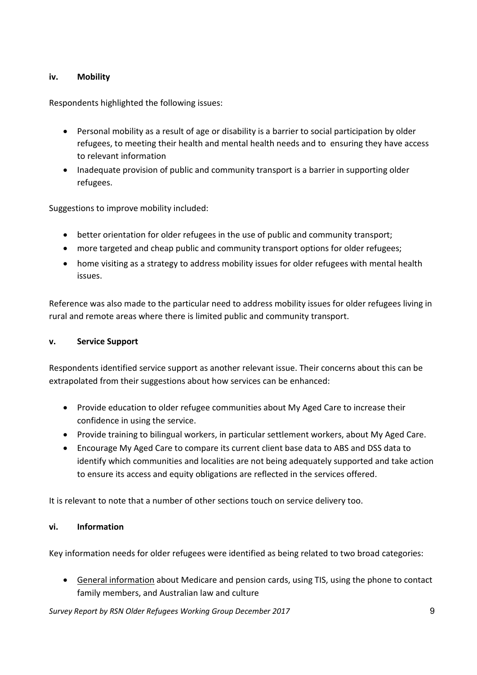## **iv. Mobility**

Respondents highlighted the following issues:

- Personal mobility as a result of age or disability is a barrier to social participation by older refugees, to meeting their health and mental health needs and to ensuring they have access to relevant information
- Inadequate provision of public and community transport is a barrier in supporting older refugees.

Suggestions to improve mobility included:

- better orientation for older refugees in the use of public and community transport;
- more targeted and cheap public and community transport options for older refugees;
- home visiting as a strategy to address mobility issues for older refugees with mental health issues.

Reference was also made to the particular need to address mobility issues for older refugees living in rural and remote areas where there is limited public and community transport.

#### **v. Service Support**

Respondents identified service support as another relevant issue. Their concerns about this can be extrapolated from their suggestions about how services can be enhanced:

- Provide education to older refugee communities about My Aged Care to increase their confidence in using the service.
- Provide training to bilingual workers, in particular settlement workers, about My Aged Care.
- Encourage My Aged Care to compare its current client base data to ABS and DSS data to identify which communities and localities are not being adequately supported and take action to ensure its access and equity obligations are reflected in the services offered.

It is relevant to note that a number of other sections touch on service delivery too.

## **vi. Information**

Key information needs for older refugees were identified as being related to two broad categories:

• General information about Medicare and pension cards, using TIS, using the phone to contact family members, and Australian law and culture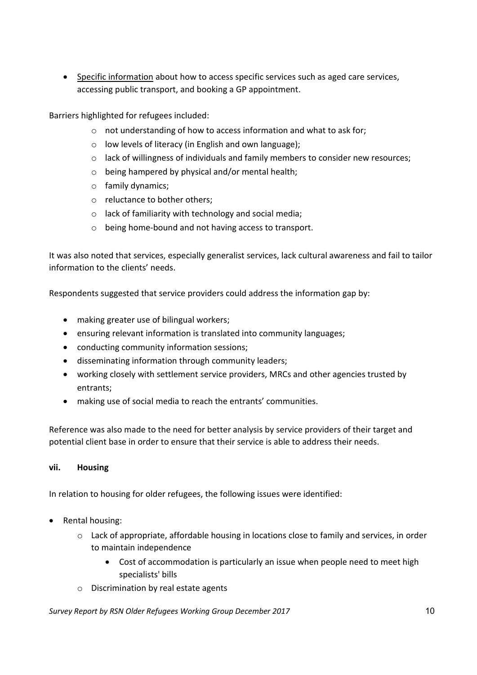• Specific information about how to access specific services such as aged care services, accessing public transport, and booking a GP appointment.

Barriers highlighted for refugees included:

- o not understanding of how to access information and what to ask for;
- o low levels of literacy (in English and own language);
- o lack of willingness of individuals and family members to consider new resources;
- o being hampered by physical and/or mental health;
- o family dynamics;
- o reluctance to bother others;
- o lack of familiarity with technology and social media;
- o being home-bound and not having access to transport.

It was also noted that services, especially generalist services, lack cultural awareness and fail to tailor information to the clients' needs.

Respondents suggested that service providers could address the information gap by:

- making greater use of bilingual workers;
- ensuring relevant information is translated into community languages;
- conducting community information sessions;
- disseminating information through community leaders;
- working closely with settlement service providers, MRCs and other agencies trusted by entrants;
- making use of social media to reach the entrants' communities.

Reference was also made to the need for better analysis by service providers of their target and potential client base in order to ensure that their service is able to address their needs.

#### **vii. Housing**

In relation to housing for older refugees, the following issues were identified:

- Rental housing:
	- $\circ$  Lack of appropriate, affordable housing in locations close to family and services, in order to maintain independence
		- Cost of accommodation is particularly an issue when people need to meet high specialists' bills
	- o Discrimination by real estate agents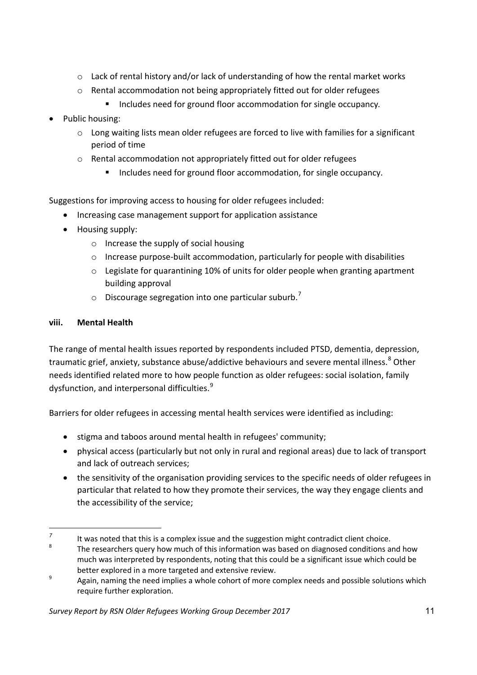- o Lack of rental history and/or lack of understanding of how the rental market works
- o Rental accommodation not being appropriately fitted out for older refugees
	- **Includes need for ground floor accommodation for single occupancy.**
- Public housing:
	- $\circ$  Long waiting lists mean older refugees are forced to live with families for a significant period of time
	- o Rental accommodation not appropriately fitted out for older refugees
		- Includes need for ground floor accommodation, for single occupancy.

Suggestions for improving access to housing for older refugees included:

- Increasing case management support for application assistance
- Housing supply:
	- o Increase the supply of social housing
	- $\circ$  Increase purpose-built accommodation, particularly for people with disabilities
	- o Legislate for quarantining 10% of units for older people when granting apartment building approval
	- $\circ$  Discourage segregation into one particular suburb.<sup>7</sup>

## **viii. Mental Health**

The range of mental health issues reported by respondents included PTSD, dementia, depression, traumatic grief, anxiety, substance abuse/addictive behaviours and severe mental illness.<sup>8</sup> Other needs identified related more to how people function as older refugees: social isolation, family dysfunction, and interpersonal difficulties.<sup>9</sup>

Barriers for older refugees in accessing mental health services were identified as including:

- stigma and taboos around mental health in refugees' community;
- physical access (particularly but not only in rural and regional areas) due to lack of transport and lack of outreach services;
- the sensitivity of the organisation providing services to the specific needs of older refugees in particular that related to how they promote their services, the way they engage clients and the accessibility of the service;

<sup>&</sup>lt;sup>7</sup> It was noted that this is a complex issue and the suggestion might contradict client choice.

The researchers query how much of this information was based on diagnosed conditions and how much was interpreted by respondents, noting that this could be a significant issue which could be better explored in a more targeted and extensive review.

<sup>&</sup>lt;sup>9</sup> Again, naming the need implies a whole cohort of more complex needs and possible solutions which require further exploration.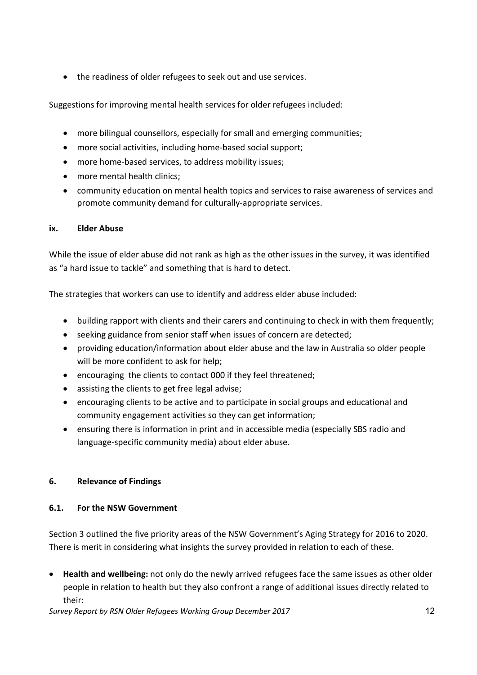• the readiness of older refugees to seek out and use services.

Suggestions for improving mental health services for older refugees included:

- more bilingual counsellors, especially for small and emerging communities;
- more social activities, including home-based social support;
- more home-based services, to address mobility issues;
- more mental health clinics;
- community education on mental health topics and services to raise awareness of services and promote community demand for culturally-appropriate services.

### **ix. Elder Abuse**

While the issue of elder abuse did not rank as high as the other issues in the survey, it was identified as "a hard issue to tackle" and something that is hard to detect.

The strategies that workers can use to identify and address elder abuse included:

- building rapport with clients and their carers and continuing to check in with them frequently;
- seeking guidance from senior staff when issues of concern are detected;
- providing education/information about elder abuse and the law in Australia so older people will be more confident to ask for help;
- encouraging the clients to contact 000 if they feel threatened;
- assisting the clients to get free legal advise;
- encouraging clients to be active and to participate in social groups and educational and community engagement activities so they can get information;
- ensuring there is information in print and in accessible media (especially SBS radio and language-specific community media) about elder abuse.

## **6. Relevance of Findings**

## **6.1. For the NSW Government**

Section 3 outlined the five priority areas of the NSW Government's Aging Strategy for 2016 to 2020. There is merit in considering what insights the survey provided in relation to each of these.

• **Health and wellbeing:** not only do the newly arrived refugees face the same issues as other older people in relation to health but they also confront a range of additional issues directly related to their: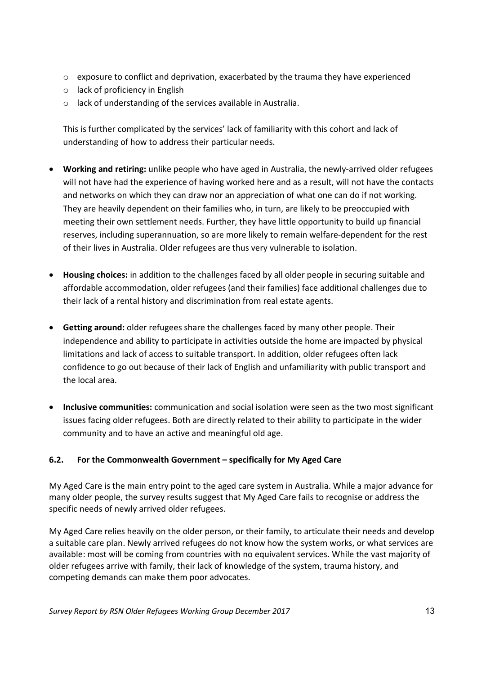- $\circ$  exposure to conflict and deprivation, exacerbated by the trauma they have experienced
- o lack of proficiency in English
- o lack of understanding of the services available in Australia.

This is further complicated by the services' lack of familiarity with this cohort and lack of understanding of how to address their particular needs.

- **Working and retiring:** unlike people who have aged in Australia, the newly-arrived older refugees will not have had the experience of having worked here and as a result, will not have the contacts and networks on which they can draw nor an appreciation of what one can do if not working. They are heavily dependent on their families who, in turn, are likely to be preoccupied with meeting their own settlement needs. Further, they have little opportunity to build up financial reserves, including superannuation, so are more likely to remain welfare-dependent for the rest of their lives in Australia. Older refugees are thus very vulnerable to isolation.
- **Housing choices:** in addition to the challenges faced by all older people in securing suitable and affordable accommodation, older refugees (and their families) face additional challenges due to their lack of a rental history and discrimination from real estate agents.
- **Getting around:** older refugees share the challenges faced by many other people. Their independence and ability to participate in activities outside the home are impacted by physical limitations and lack of access to suitable transport. In addition, older refugees often lack confidence to go out because of their lack of English and unfamiliarity with public transport and the local area.
- **Inclusive communities:** communication and social isolation were seen as the two most significant issues facing older refugees. Both are directly related to their ability to participate in the wider community and to have an active and meaningful old age.

## **6.2. For the Commonwealth Government – specifically for My Aged Care**

My Aged Care is the main entry point to the aged care system in Australia. While a major advance for many older people, the survey results suggest that My Aged Care fails to recognise or address the specific needs of newly arrived older refugees.

My Aged Care relies heavily on the older person, or their family, to articulate their needs and develop a suitable care plan. Newly arrived refugees do not know how the system works, or what services are available: most will be coming from countries with no equivalent services. While the vast majority of older refugees arrive with family, their lack of knowledge of the system, trauma history, and competing demands can make them poor advocates.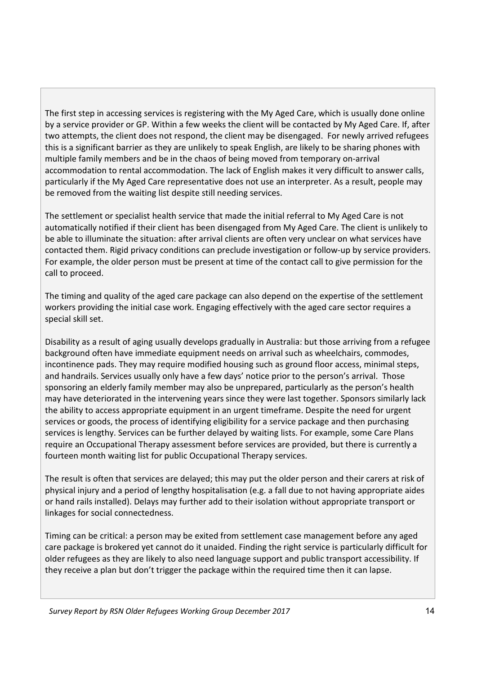The first step in accessing services is registering with the My Aged Care, which is usually done online by a service provider or GP. Within a few weeks the client will be contacted by My Aged Care. If, after two attempts, the client does not respond, the client may be disengaged. For newly arrived refugees this is a significant barrier as they are unlikely to speak English, are likely to be sharing phones with multiple family members and be in the chaos of being moved from temporary on-arrival accommodation to rental accommodation. The lack of English makes it very difficult to answer calls, particularly if the My Aged Care representative does not use an interpreter. As a result, people may be removed from the waiting list despite still needing services.

The settlement or specialist health service that made the initial referral to My Aged Care is not automatically notified if their client has been disengaged from My Aged Care. The client is unlikely to be able to illuminate the situation: after arrival clients are often very unclear on what services have contacted them. Rigid privacy conditions can preclude investigation or follow-up by service providers. For example, the older person must be present at time of the contact call to give permission for the call to proceed.

The timing and quality of the aged care package can also depend on the expertise of the settlement workers providing the initial case work. Engaging effectively with the aged care sector requires a special skill set.

Disability as a result of aging usually develops gradually in Australia: but those arriving from a refugee background often have immediate equipment needs on arrival such as wheelchairs, commodes, incontinence pads. They may require modified housing such as ground floor access, minimal steps, and handrails. Services usually only have a few days' notice prior to the person's arrival. Those sponsoring an elderly family member may also be unprepared, particularly as the person's health may have deteriorated in the intervening years since they were last together. Sponsors similarly lack the ability to access appropriate equipment in an urgent timeframe. Despite the need for urgent services or goods, the process of identifying eligibility for a service package and then purchasing services is lengthy. Services can be further delayed by waiting lists. For example, some Care Plans require an Occupational Therapy assessment before services are provided, but there is currently a fourteen month waiting list for public Occupational Therapy services.

The result is often that services are delayed; this may put the older person and their carers at risk of physical injury and a period of lengthy hospitalisation (e.g. a fall due to not having appropriate aides or hand rails installed). Delays may further add to their isolation without appropriate transport or linkages for social connectedness.

Timing can be critical: a person may be exited from settlement case management before any aged care package is brokered yet cannot do it unaided. Finding the right service is particularly difficult for older refugees as they are likely to also need language support and public transport accessibility. If they receive a plan but don't trigger the package within the required time then it can lapse.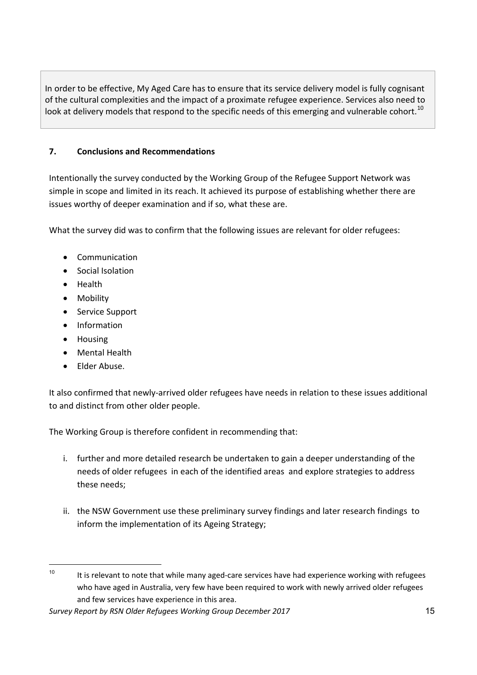In order to be effective, My Aged Care has to ensure that its service delivery model is fully cognisant of the cultural complexities and the impact of a proximate refugee experience. Services also need to look at delivery models that respond to the specific needs of this emerging and vulnerable cohort.<sup>10</sup>

## **7. Conclusions and Recommendations**

Intentionally the survey conducted by the Working Group of the Refugee Support Network was simple in scope and limited in its reach. It achieved its purpose of establishing whether there are issues worthy of deeper examination and if so, what these are.

What the survey did was to confirm that the following issues are relevant for older refugees:

- Communication
- Social Isolation
- Health
- Mobility
- Service Support
- Information
- Housing
- Mental Health
- Elder Abuse.

It also confirmed that newly-arrived older refugees have needs in relation to these issues additional to and distinct from other older people.

The Working Group is therefore confident in recommending that:

- i. further and more detailed research be undertaken to gain a deeper understanding of the needs of older refugees in each of the identified areas and explore strategies to address these needs;
- ii. the NSW Government use these preliminary survey findings and later research findings to inform the implementation of its Ageing Strategy;

 $10$  It is relevant to note that while many aged-care services have had experience working with refugees who have aged in Australia, very few have been required to work with newly arrived older refugees and few services have experience in this area.

*Survey Report by RSN Older Refugees Working Group December 2017* 15